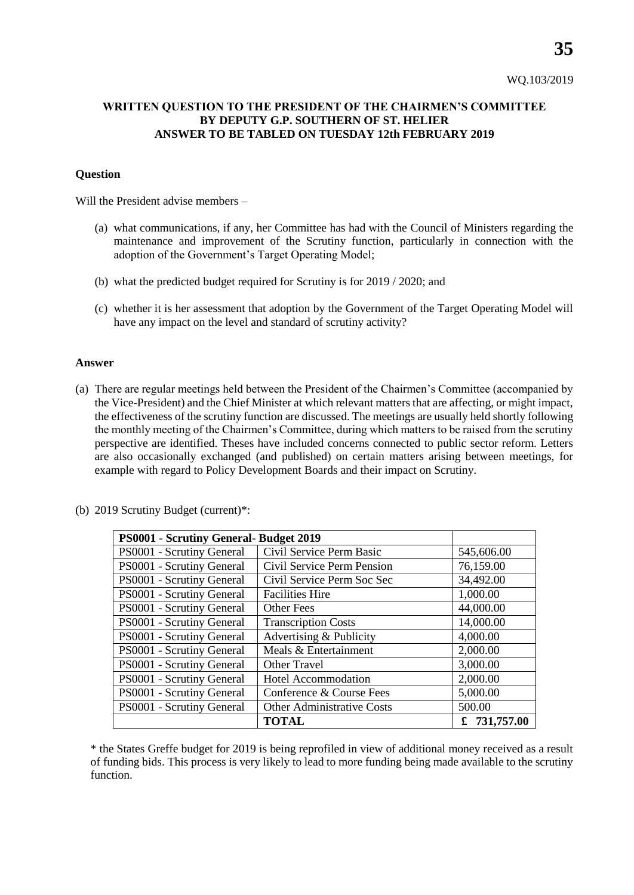## **WRITTEN QUESTION TO THE PRESIDENT OF THE CHAIRMEN'S COMMITTEE BY DEPUTY G.P. SOUTHERN OF ST. HELIER ANSWER TO BE TABLED ON TUESDAY 12th FEBRUARY 2019**

## **Question**

Will the President advise members –

- (a) what communications, if any, her Committee has had with the Council of Ministers regarding the maintenance and improvement of the Scrutiny function, particularly in connection with the adoption of the Government's Target Operating Model;
- (b) what the predicted budget required for Scrutiny is for 2019 / 2020; and
- (c) whether it is her assessment that adoption by the Government of the Target Operating Model will have any impact on the level and standard of scrutiny activity?

## **Answer**

(a) There are regular meetings held between the President of the Chairmen's Committee (accompanied by the Vice-President) and the Chief Minister at which relevant matters that are affecting, or might impact, the effectiveness of the scrutiny function are discussed. The meetings are usually held shortly following the monthly meeting of the Chairmen's Committee, during which matters to be raised from the scrutiny perspective are identified. Theses have included concerns connected to public sector reform. Letters are also occasionally exchanged (and published) on certain matters arising between meetings, for example with regard to Policy Development Boards and their impact on Scrutiny.

| PS0001 - Scrutiny General- Budget 2019 |                                   |                |
|----------------------------------------|-----------------------------------|----------------|
| PS0001 - Scrutiny General              | Civil Service Perm Basic          | 545,606.00     |
| PS0001 - Scrutiny General              | Civil Service Perm Pension        | 76,159.00      |
| PS0001 - Scrutiny General              | Civil Service Perm Soc Sec        | 34,492.00      |
| PS0001 - Scrutiny General              | <b>Facilities Hire</b>            | 1,000.00       |
| PS0001 - Scrutiny General              | Other Fees                        | 44,000.00      |
| PS0001 - Scrutiny General              | <b>Transcription Costs</b>        | 14,000.00      |
| PS0001 - Scrutiny General              | Advertising & Publicity           | 4,000.00       |
| PS0001 - Scrutiny General              | Meals & Entertainment             | 2,000.00       |
| PS0001 - Scrutiny General              | <b>Other Travel</b>               | 3,000.00       |
| PS0001 - Scrutiny General              | <b>Hotel Accommodation</b>        | 2,000.00       |
| PS0001 - Scrutiny General              | Conference & Course Fees          | 5,000.00       |
| PS0001 - Scrutiny General              | <b>Other Administrative Costs</b> | 500.00         |
|                                        | <b>TOTAL</b>                      | £ $731,757.00$ |

(b) 2019 Scrutiny Budget (current)\*:

\* the States Greffe budget for 2019 is being reprofiled in view of additional money received as a result of funding bids. This process is very likely to lead to more funding being made available to the scrutiny function.